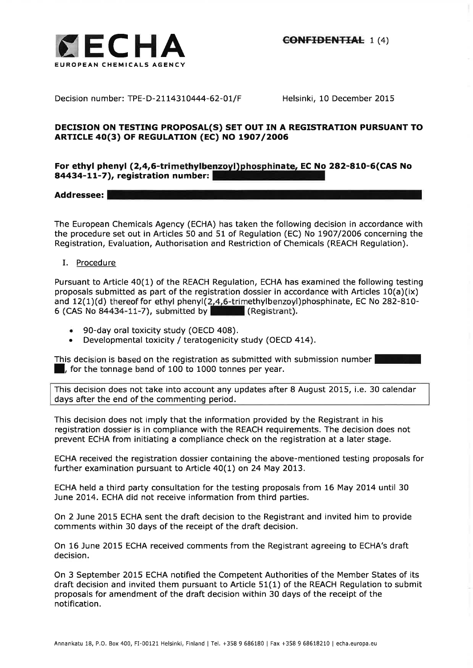

Decision number: TPE-D-2114310444-62-01/F Helsinki, 10 December 2015

# DECISION ON TESTING PROPOSAL(S) SET OUT IN A REGISTRATION PURSUANT TO **ARTICLE 40(3) OF REGULATION (EC) NO 1907/2006**

# For ethyl phenyl (2,4,6-trimethylbenzoyl)phosphinate, EC No 282-810-6(CAS No 84434-11-7), registration number:

Addressee:

The European Chemicals Agency (ECHA) has taken the following decision in accordance with the procedure set out in Articles 50 and 51 of Regulation (EC) No 1907/2006 concerning the Registration, Evaluation, Authorisation and Restriction of Chemicals (REACH Regulation).

# I. Procedure

Pursuant to Article 40(1) of the REACH Regulation, ECHA has examined the following testing proposals submitted as part of the registration dossier in accordance with Articles  $10(a)(ix)$ and 12(1)(d) thereof for ethyl phenyl(2,4,6-trimethylbenzoyl)phosphinate, EC No 282-810-<br>6 (CAS No 84434-11-7), submitted by **Case of Austral** (Registrant). 6 (CAS No  $84434-11-7$ ), submitted by

- . 90-day oral toxicity study (OECD 408).
- . Developmental toxicity / teratogenicity study (OECD 4L4).

This decision is based on the registration as submitted with submission number l, for the tonnage band of 100 to 1000 tonnes per year.

This decision does not take into account any updates after B August 2015, i.e. 30 calendar days after the end of the commenting period.

This decision does not imply that the information provided by the Registrant in his registration dossier is in compliance with the REACH requirements. The decision does not prevent ECHA from initiating a compliance check on the registration at a later stage.

ECHA received the registration dossier containing the above-mentioned testing proposals for further examination pursuant to Article 40(1) on 24 May 2013.

ECHA held a third party consultation for the testing proposals from 16 May 2014 until 30 June 2014. ECHA did not receive information from third parties.

On 2 June 2015 ECHA sent the draft decision to the Registrant and invited him to provide comments within 30 days of the receipt of the draft decision.

On 16 June 2015 ECHA received comments from the Registrant agreeing to ECHA's draft decision.

On 3 September 2015 ECHA notified the Competent Authorities of the Member States of its draft decision and invited them pursuant to Article 51(1) of the REACH Regulation to submit proposals for amendment of the draft decision within 30 days of the receipt of the notification.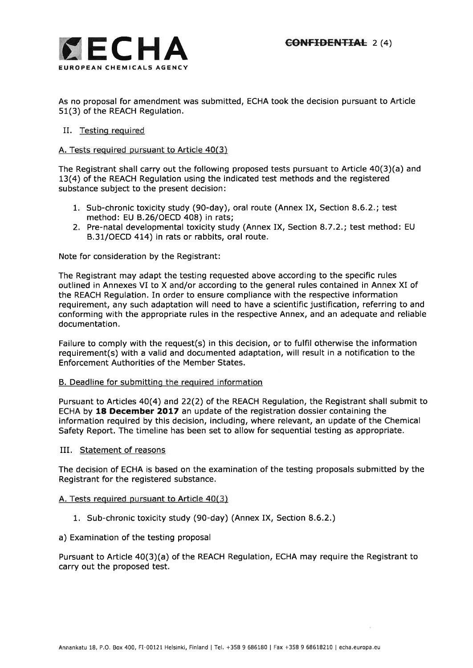

As no proposal for amendment was submitted, ECHA took the decision pursuant to Article 51(3) of the REACH Regulation.

# II. Testing required

## A, Tests required pursuant to Article 40(3)

The Registrant shall carry out the following proposed tests pursuant to Article 40(3)(a) and 13(4) of the REACH Regulation using the indicated test methods and the registered substance subject to the present decision:

- 1. Sub-chronic toxicity study (90-day), oral route (Annex IX, Section 8.6,2.; test method: EU B.26/OECD 408) in rats;
- 2. Pre-natal developmental toxicity study (Annex IX, Section 8.7.2.; test method: EU B.31/OECD 414) in rats or rabbits, oral route.

Note for consideration by the Registrant:

The Registrant may adapt the testing requested above according to the specific rules outlined in Annexes VI to X and/or according to the general rules contained in Annex XI of the REACH Regulation. In order to ensure compliance with the respective information requirement, any such adaptation will need to have a scientific justification, referring to and conforming with the appropriate rules in the respective Annex, and an adequate and reliable documentation.

Failure to comply with the request(s) in this decision, or to fulfil otherwise the information requirement(s) with a valid and documented adaptation, will result in a notification to the Enforcement Authorities of the Member States.

## B. Deadline for submitting the required information

Pursuant to Articles 4O(4) and 22(2) of the REACH Regulation, the Registrant shall submit to ECHA by 18 December 2017 an update of the registration dossier containing the information required by this decision, including, where relevant, an update of the Chemical Safety Report. The timeline has been set to allow for sequential testing as appropriate.

IIL Statement of reasons

The decision of ECHA is based on the examination of the testing proposals submitted by the Registrant for the registered substance.

#### A, Tests required pursuant to Article 40(3)

1, Sub-chronic toxicity study (90-day) (Annex IX, Section 8.6.2.)

## a) Examination of the testing proposal

Pursuant to Article 40(3)(a) of the REACH Regulation, ECHA may require the Registrant to carry out the proposed test.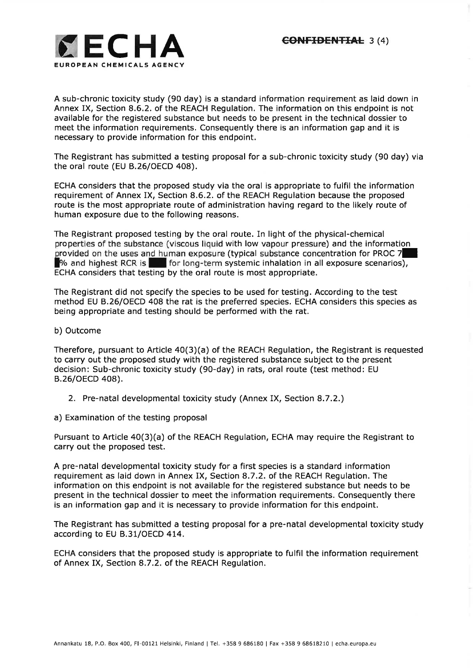

A sub-chronic toxicity study (90 day) is a standard information requirement as laid down in Annex IX, Section 8.6.2. of the REACH Regulation. The information on this endpoint is not available for the registered substance but needs to be present in the technical dossier to meet the information requirements. Consequently there is an information gap and it is necessary to provide information for this endpoint.

The Registrant has submitted a testing proposal for a sub-chronic toxicity study (90 day) via the oral route (EU B.26/OECD 408).

ECHA considers that the proposed study via the oral is appropriate to fulfil the information requirement of Annex IX, Section 8.6.2. of the REACH Regulation because the proposed route is the most appropriate route of administration having regard to the likely route of human exposure due to the following reasons.

The Registrant proposed testing by the oral route. In light of the physical-chemical properties of the substance (viscous liquid with low vapour pressure) and the information provided on the uses and human exposure (typical substance concentration for PROC 7<sup>1</sup><br>So and highest RCR is the for long-term systemic inhalation in all exposure scenarios  $\blacksquare$  for long-term systemic inhalation in all exposure scenarios), ECHA considers that testing by the oral route is most appropriate.

The Registrant did not specify the species to be used for testing. According to the test method EU B.26|OECD 408 the rat is the preferred species. ECHA considers this species as being appropriate and testing should be performed with the rat.

## b) Outcome

Therefore, pursuant to Article 40(3)(a) of the REACH Regulation, the Registrant is requested to carry out the proposed study with the registered substance subject to the present decision: Sub-chronic toxicity study (90-day) in rats, oral route (test method: EU B.26/OECD 408).

- 2. Pre-natal developmental toxicity study (Annex IX, Section 8.7.2.)
- a) Examination of the testing proposal

Pursuant to Article 40(3)(a) of the REACH Regulation, ECHA may require the Registrant to carry out the proposed test.

A pre-natal developmental toxicity study for a first species is a standard information requirement as laid down in Annex IX, Section 8.7.2. of the REACH Regulation. The information on this endpoint is not available for the registered substance but needs to be present in the technical dossier to meet the information requirements. Consequently there is an information gap and it is necessary to provide information for this endpoint,

The Registrant has submitted a testing proposal for a pre-natal developmental toxicity study according to EU B.3L|OECD 4I4.

ECHA considers that the proposed study is appropriate to fulfil the information requirement of Annex IX, Section 8.7.2. of the REACH Regulation.